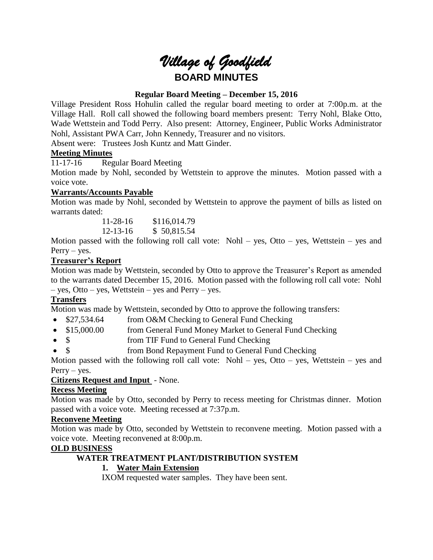# *Village of Goodfield* **BOARD MINUTES**

# **Regular Board Meeting – December 15, 2016**

Village President Ross Hohulin called the regular board meeting to order at 7:00p.m. at the Village Hall. Roll call showed the following board members present: Terry Nohl, Blake Otto, Wade Wettstein and Todd Perry. Also present: Attorney, Engineer, Public Works Administrator Nohl, Assistant PWA Carr, John Kennedy, Treasurer and no visitors.

Absent were: Trustees Josh Kuntz and Matt Ginder.

# **Meeting Minutes**

11-17-16 Regular Board Meeting

Motion made by Nohl, seconded by Wettstein to approve the minutes. Motion passed with a voice vote.

# **Warrants/Accounts Payable**

Motion was made by Nohl, seconded by Wettstein to approve the payment of bills as listed on warrants dated:

> 11-28-16 \$116,014.79 12-13-16 \$ 50,815.54

Motion passed with the following roll call vote: Nohl – yes, Otto – yes, Wettstein – yes and Perry – yes.

# **Treasurer's Report**

Motion was made by Wettstein, seconded by Otto to approve the Treasurer's Report as amended to the warrants dated December 15, 2016. Motion passed with the following roll call vote: Nohl – yes, Otto – yes, Wettstein – yes and Perry – yes.

# **Transfers**

Motion was made by Wettstein, seconded by Otto to approve the following transfers:

- \$27,534.64 from O&M Checking to General Fund Checking
- \$15,000.00 from General Fund Money Market to General Fund Checking
- \$ from TIF Fund to General Fund Checking
- \$ from Bond Repayment Fund to General Fund Checking

Motion passed with the following roll call vote: Nohl – yes, Otto – yes, Wettstein – yes and Perry – yes.

#### **Citizens Request and Input** - None.

# **Recess Meeting**

Motion was made by Otto, seconded by Perry to recess meeting for Christmas dinner. Motion passed with a voice vote. Meeting recessed at 7:37p.m.

#### **Reconvene Meeting**

Motion was made by Otto, seconded by Wettstein to reconvene meeting. Motion passed with a voice vote. Meeting reconvened at 8:00p.m.

#### **OLD BUSINESS**

#### **WATER TREATMENT PLANT/DISTRIBUTION SYSTEM**

# **1. Water Main Extension**

IXOM requested water samples. They have been sent.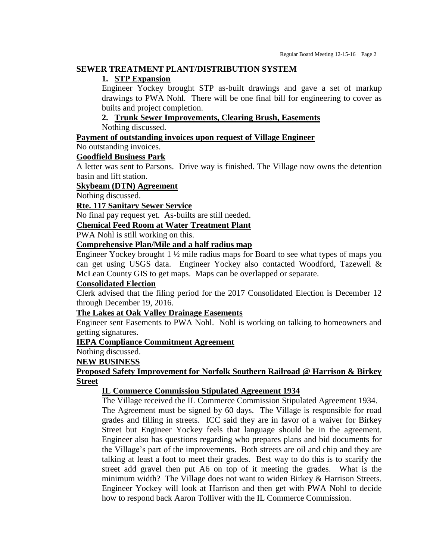#### **SEWER TREATMENT PLANT/DISTRIBUTION SYSTEM**

#### **1. STP Expansion**

Engineer Yockey brought STP as-built drawings and gave a set of markup drawings to PWA Nohl. There will be one final bill for engineering to cover as builts and project completion.

# **2. Trunk Sewer Improvements, Clearing Brush, Easements**

Nothing discussed.

#### **Payment of outstanding invoices upon request of Village Engineer**

# No outstanding invoices.

# **Goodfield Business Park**

A letter was sent to Parsons. Drive way is finished. The Village now owns the detention basin and lift station.

#### **Skybeam (DTN) Agreement**

Nothing discussed.

#### **Rte. 117 Sanitary Sewer Service**

No final pay request yet. As-builts are still needed.

# **Chemical Feed Room at Water Treatment Plant**

PWA Nohl is still working on this.

#### **Comprehensive Plan/Mile and a half radius map**

Engineer Yockey brought 1 ½ mile radius maps for Board to see what types of maps you can get using USGS data. Engineer Yockey also contacted Woodford, Tazewell & McLean County GIS to get maps. Maps can be overlapped or separate.

#### **Consolidated Election**

Clerk advised that the filing period for the 2017 Consolidated Election is December 12 through December 19, 2016.

#### **The Lakes at Oak Valley Drainage Easements**

Engineer sent Easements to PWA Nohl. Nohl is working on talking to homeowners and getting signatures.

#### **IEPA Compliance Commitment Agreement**

Nothing discussed.

#### **NEW BUSINESS**

# **Proposed Safety Improvement for Norfolk Southern Railroad @ Harrison & Birkey Street**

#### **IL Commerce Commission Stipulated Agreement 1934**

The Village received the IL Commerce Commission Stipulated Agreement 1934. The Agreement must be signed by 60 days. The Village is responsible for road grades and filling in streets. ICC said they are in favor of a waiver for Birkey Street but Engineer Yockey feels that language should be in the agreement. Engineer also has questions regarding who prepares plans and bid documents for the Village's part of the improvements. Both streets are oil and chip and they are talking at least a foot to meet their grades. Best way to do this is to scarify the street add gravel then put A6 on top of it meeting the grades. What is the minimum width? The Village does not want to widen Birkey & Harrison Streets. Engineer Yockey will look at Harrison and then get with PWA Nohl to decide how to respond back Aaron Tolliver with the IL Commerce Commission.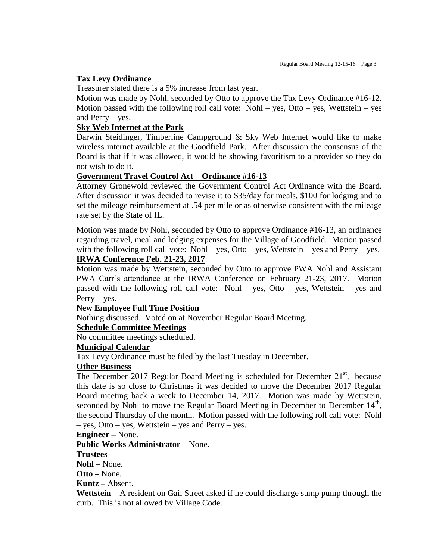#### **Tax Levy Ordinance**

Treasurer stated there is a 5% increase from last year.

Motion was made by Nohl, seconded by Otto to approve the Tax Levy Ordinance #16-12. Motion passed with the following roll call vote:  $Nohl - yes$ , Otto – yes, Wettstein – yes and Perry – yes.

#### **Sky Web Internet at the Park**

Darwin Steidinger, Timberline Campground & Sky Web Internet would like to make wireless internet available at the Goodfield Park. After discussion the consensus of the Board is that if it was allowed, it would be showing favoritism to a provider so they do not wish to do it.

#### **Government Travel Control Act – Ordinance #16-13**

Attorney Gronewold reviewed the Government Control Act Ordinance with the Board. After discussion it was decided to revise it to \$35/day for meals, \$100 for lodging and to set the mileage reimbursement at .54 per mile or as otherwise consistent with the mileage rate set by the State of IL.

Motion was made by Nohl, seconded by Otto to approve Ordinance #16-13, an ordinance regarding travel, meal and lodging expenses for the Village of Goodfield. Motion passed with the following roll call vote: Nohl – yes, Otto – yes, Wettstein – yes and Perry – yes.

# **IRWA Conference Feb. 21-23, 2017**

Motion was made by Wettstein, seconded by Otto to approve PWA Nohl and Assistant PWA Carr's attendance at the IRWA Conference on February 21-23, 2017. Motion passed with the following roll call vote: Nohl – yes, Otto – yes, Wettstein – yes and Perry – yes.

#### **New Employee Full Time Position**

Nothing discussed. Voted on at November Regular Board Meeting.

#### **Schedule Committee Meetings**

No committee meetings scheduled.

#### **Municipal Calendar**

Tax Levy Ordinance must be filed by the last Tuesday in December.

#### **Other Business**

The December 2017 Regular Board Meeting is scheduled for December 21<sup>st</sup>, because this date is so close to Christmas it was decided to move the December 2017 Regular Board meeting back a week to December 14, 2017. Motion was made by Wettstein, seconded by Nohl to move the Regular Board Meeting in December to December  $14<sup>th</sup>$ , the second Thursday of the month. Motion passed with the following roll call vote: Nohl – yes, Otto – yes, Wettstein – yes and Perry – yes.

#### **Engineer –** None.

**Public Works Administrator –** None.

#### **Trustees**

**Nohl** – None.

**Otto –** None.

**Kuntz –** Absent.

**Wettstein –** A resident on Gail Street asked if he could discharge sump pump through the curb. This is not allowed by Village Code.